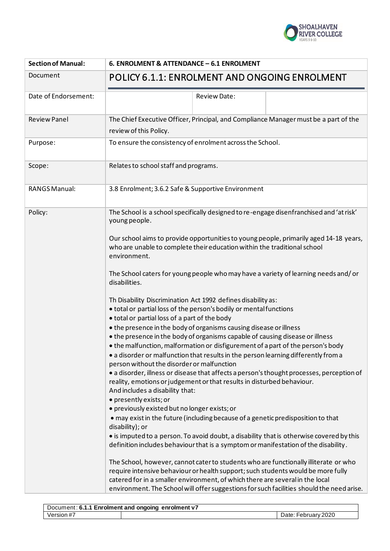

| <b>Section of Manual:</b> | 6. ENROLMENT & ATTENDANCE - 6.1 ENROLMENT                                                                                                                                                                                                                                                                                                              |
|---------------------------|--------------------------------------------------------------------------------------------------------------------------------------------------------------------------------------------------------------------------------------------------------------------------------------------------------------------------------------------------------|
| Document                  | POLICY 6.1.1: ENROLMENT AND ONGOING ENROLMENT                                                                                                                                                                                                                                                                                                          |
| Date of Endorsement:      | <b>Review Date:</b>                                                                                                                                                                                                                                                                                                                                    |
| <b>Review Panel</b>       | The Chief Executive Officer, Principal, and Compliance Manager must be a part of the<br>review of this Policy.                                                                                                                                                                                                                                         |
| Purpose:                  | To ensure the consistency of enrolment across the School.                                                                                                                                                                                                                                                                                              |
| Scope:                    | Relates to school staff and programs.                                                                                                                                                                                                                                                                                                                  |
| <b>RANGS Manual:</b>      | 3.8 Enrolment; 3.6.2 Safe & Supportive Environment                                                                                                                                                                                                                                                                                                     |
| Policy:                   | The School is a school specifically designed to re-engage disenfranchised and 'at risk'<br>young people.                                                                                                                                                                                                                                               |
|                           | Our school aims to provide opportunities to young people, primarily aged 14-18 years,<br>who are unable to complete their education within the traditional school<br>environment.                                                                                                                                                                      |
|                           | The School caters for young people who may have a variety of learning needs and/or<br>disabilities.                                                                                                                                                                                                                                                    |
|                           | Th Disability Discrimination Act 1992 defines disability as:<br>• total or partial loss of the person's bodily or mental functions<br>• total or partial loss of a part of the body                                                                                                                                                                    |
|                           | • the presence in the body of organisms causing disease or illness<br>• the presence in the body of organisms capable of causing disease or illness<br>• the malfunction, malformation or disfigurement of a part of the person's body<br>• a disorder or malfunction that results in the person learning differently from a                           |
|                           | person without the disorder or malfunction<br>· a disorder, illness or disease that affects a person's thought processes, perception of<br>reality, emotions or judgement or that results in disturbed behaviour.<br>And includes a disability that:                                                                                                   |
|                           | · presently exists; or<br>· previously existed but no longer exists; or                                                                                                                                                                                                                                                                                |
|                           | · may exist in the future (including because of a genetic predisposition to that<br>disability); or                                                                                                                                                                                                                                                    |
|                           | • is imputed to a person. To avoid doubt, a disability that is otherwise covered by this<br>definition includes behaviour that is a symptom or manifestation of the disability.                                                                                                                                                                        |
|                           | The School, however, cannot cater to students who are functionally illiterate or who<br>require intensive behaviour or health support; such students would be more fully<br>catered for in a smaller environment, of which there are several in the local<br>environment. The School will offer suggestions for such facilities should the need arise. |

| Document: 6.1.1 Enrolment and ongoing enrolment v7 |  |                          |
|----------------------------------------------------|--|--------------------------|
| Version #7                                         |  | February 2020<br>Date: I |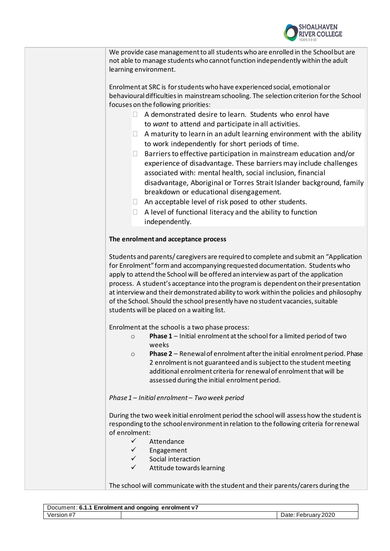

| We provide case management to all students who are enrolled in the School but are |
|-----------------------------------------------------------------------------------|
| not able to manage students who cannot function independently within the adult    |
| learning environment.                                                             |

Enrolment at SRC is for students who have experienced social, emotional or behaviouraldifficulties in mainstream schooling. The selection criterion for the School focuses on the following priorities:

- $\Box$  A demonstrated desire to learn. Students who enrol have to *want* to attend and participate in all activities.
- $\Box$  A maturity to learn in an adult learning environment with the ability to work independently for short periods of time.
- $\Box$  Barriers to effective participation in mainstream education and/or experience of disadvantage. These barriers may include challenges associated with: mental health, social inclusion, financial disadvantage, Aboriginal or Torres Strait Islander background, family breakdown or educational disengagement.
- $\Box$  An acceptable level of risk posed to other students.
- $\Box$  A level of functional literacy and the ability to function independently.

# **The enrolment and acceptance process**

Students and parents/ caregivers are required to complete and submit an "Application for Enrolment" form and accompanying requested documentation. Students who apply to attend the School will be offered an interview as part of the application process. A student's acceptance into the program is dependent on their presentation at interview and their demonstrated ability to work within the policies and philosophy of the School. Should the school presently have no student vacancies, suitable students will be placed on a waiting list.

Enrolment at the school is a two phase process:

- o **Phase 1** Initial enrolment at the school for a limited period of two weeks
- o **Phase 2** Renewal of enrolment after the initial enrolment period. Phase 2 enrolment is not guaranteed and is subject to the student meeting additional enrolment criteria for renewal of enrolment that will be assessed during the initial enrolment period.

## *Phase 1 – Initial enrolment – Two week period*

During the two week initial enrolment period the school will assess how the student is responding to the school environment in relation to the following criteria for renewal of enrolment:

- ✓ Attendance
- ✓ Engagement
- ✓ Social interaction
- Attitude towards learning

The school will communicate with the student and their parents/carers during the

| Document: 6.1.1 Enrolment and ongoing enrolment v7 |  |                        |
|----------------------------------------------------|--|------------------------|
| Version #7                                         |  | February 2020<br>⊃ate: |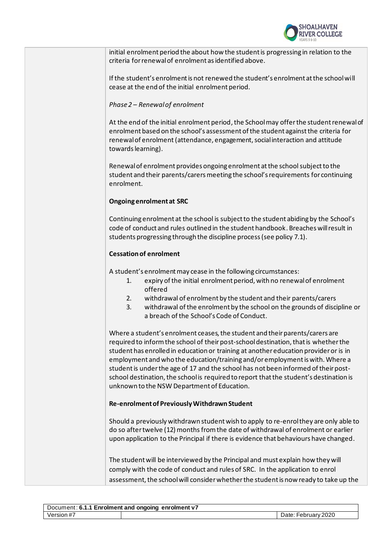

initial enrolment period the about how the student is progressing in relation to the criteria for renewal of enrolment as identified above.

If the student's enrolment is not renewed the student's enrolment at the school will cease at the end of the initial enrolment period.

# *Phase 2 – Renewal of enrolment*

At the end of the initial enrolment period, the School may offer the student renewal of enrolment based on the school's assessment of the student against the criteria for renewal of enrolment (attendance, engagement, social interaction and attitude towards learning).

Renewal of enrolment provides ongoing enrolment at the school subject to the student and their parents/carers meeting the school's requirements for continuing enrolment.

# **Ongoing enrolment at SRC**

Continuing enrolment at the school is subject to the student abiding by the School's code of conduct and rules outlined in the student handbook. Breaches will result in students progressing through the discipline process (see policy 7.1).

# **Cessation of enrolment**

A student's enrolment may cease in the following circumstances:

- 1. expiry of the initial enrolment period, with no renewal of enrolment offered
- 2. withdrawal of enrolment by the student and their parents/carers
- 3. withdrawal of the enrolment by the school on the grounds of discipline or a breach of the School's Code of Conduct.

Where a student's enrolment ceases, the student and their parents/carers are required to inform the school of their post-school destination, that is whether the student has enrolled in education or training at another education provider or is in employment and who the education/training and/or employment is with. Where a student is under the age of 17 and the school has not been informed of their postschool destination, the school is required to report that the student's destination is unknown to the NSW Department of Education.

## **Re-enrolment of Previously Withdrawn Student**

Should a previously withdrawn student wish to apply to re-enrol they are only able to do so after twelve (12) months from the date of withdrawal of enrolment or earlier upon application to the Principal if there is evidence that behaviours have changed.

The student will be interviewed by the Principal and must explain how they will comply with the code of conduct and rules of SRC. In the application to enrol assessment, the school will consider whether the student is now ready to take up the

| Document: 6.1.1 Enrolment and ongoing enrolment v7 |  |               |
|----------------------------------------------------|--|---------------|
| Version #7                                         |  | February 2020 |